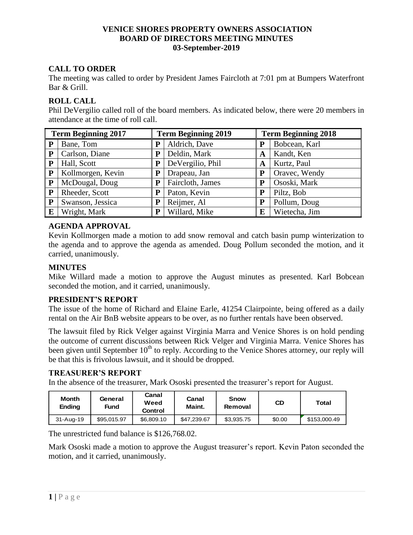# **CALL TO ORDER**

The meeting was called to order by President James Faircloth at 7:01 pm at Bumpers Waterfront Bar & Grill.

#### **ROLL CALL**

Phil DeVergilio called roll of the board members. As indicated below, there were 20 members in attendance at the time of roll call.

| <b>Term Beginning 2017</b> |                   |   | <b>Term Beginning 2019</b> |   | <b>Term Beginning 2018</b> |  |  |
|----------------------------|-------------------|---|----------------------------|---|----------------------------|--|--|
| P                          | Bane, Tom         | P | Aldrich, Dave              | P | Bobcean, Karl              |  |  |
| ${\bf P}$                  | Carlson, Diane    | P | Deldin, Mark               | A | Kandt, Ken                 |  |  |
| ${\bf P}$                  | Hall, Scott       | P | DeVergilio, Phil           | A | Kurtz, Paul                |  |  |
| P                          | Kollmorgen, Kevin | P | Drapeau, Jan               | P | Oravec, Wendy              |  |  |
| ${\bf P}$                  | McDougal, Doug    | P | Faircloth, James           | P | Ososki, Mark               |  |  |
| P                          | Rheeder, Scott    | P | Paton, Kevin               | P | Piltz, Bob                 |  |  |
| $\mathbf{P}$               | Swanson, Jessica  | P | Reijmer, Al                | P | Pollum, Doug               |  |  |
| E                          | Wright, Mark      | P | Willard, Mike              | E | Wietecha, Jim              |  |  |

#### **AGENDA APPROVAL**

Kevin Kollmorgen made a motion to add snow removal and catch basin pump winterization to the agenda and to approve the agenda as amended. Doug Pollum seconded the motion, and it carried, unanimously.

### **MINUTES**

Mike Willard made a motion to approve the August minutes as presented. Karl Bobcean seconded the motion, and it carried, unanimously.

#### **PRESIDENT'S REPORT**

The issue of the home of Richard and Elaine Earle, 41254 Clairpointe, being offered as a daily rental on the Air BnB website appears to be over, as no further rentals have been observed.

The lawsuit filed by Rick Velger against Virginia Marra and Venice Shores is on hold pending the outcome of current discussions between Rick Velger and Virginia Marra. Venice Shores has been given until September  $10<sup>th</sup>$  to reply. According to the Venice Shores attorney, our reply will be that this is frivolous lawsuit, and it should be dropped.

# **TREASURER'S REPORT**

In the absence of the treasurer, Mark Ososki presented the treasurer's report for August.

| Month<br><b>Ending</b> | General<br>Fund | Canal<br>Weed<br>Control | Canal<br>Maint. | Snow<br>Removal | CD     | Total        |
|------------------------|-----------------|--------------------------|-----------------|-----------------|--------|--------------|
| 31-Aug-19              | \$95.015.97     | \$6,809.10               | \$47.239.67     | \$3,935.75      | \$0.00 | \$153,000.49 |

The unrestricted fund balance is \$126,768.02.

Mark Ososki made a motion to approve the August treasurer's report. Kevin Paton seconded the motion, and it carried, unanimously.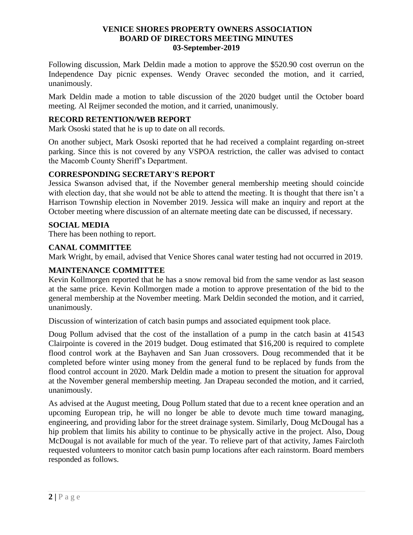Following discussion, Mark Deldin made a motion to approve the \$520.90 cost overrun on the Independence Day picnic expenses. Wendy Oravec seconded the motion, and it carried, unanimously.

Mark Deldin made a motion to table discussion of the 2020 budget until the October board meeting. Al Reijmer seconded the motion, and it carried, unanimously.

### **RECORD RETENTION/WEB REPORT**

Mark Ososki stated that he is up to date on all records.

On another subject, Mark Ososki reported that he had received a complaint regarding on-street parking. Since this is not covered by any VSPOA restriction, the caller was advised to contact the Macomb County Sheriff's Department.

# **CORRESPONDING SECRETARY'S REPORT**

Jessica Swanson advised that, if the November general membership meeting should coincide with election day, that she would not be able to attend the meeting. It is thought that there isn't a Harrison Township election in November 2019. Jessica will make an inquiry and report at the October meeting where discussion of an alternate meeting date can be discussed, if necessary.

### **SOCIAL MEDIA**

There has been nothing to report.

#### **CANAL COMMITTEE**

Mark Wright, by email, advised that Venice Shores canal water testing had not occurred in 2019.

### **MAINTENANCE COMMITTEE**

Kevin Kollmorgen reported that he has a snow removal bid from the same vendor as last season at the same price. Kevin Kollmorgen made a motion to approve presentation of the bid to the general membership at the November meeting. Mark Deldin seconded the motion, and it carried, unanimously.

Discussion of winterization of catch basin pumps and associated equipment took place.

Doug Pollum advised that the cost of the installation of a pump in the catch basin at 41543 Clairpointe is covered in the 2019 budget. Doug estimated that \$16,200 is required to complete flood control work at the Bayhaven and San Juan crossovers. Doug recommended that it be completed before winter using money from the general fund to be replaced by funds from the flood control account in 2020. Mark Deldin made a motion to present the situation for approval at the November general membership meeting. Jan Drapeau seconded the motion, and it carried, unanimously.

As advised at the August meeting, Doug Pollum stated that due to a recent knee operation and an upcoming European trip, he will no longer be able to devote much time toward managing, engineering, and providing labor for the street drainage system. Similarly, Doug McDougal has a hip problem that limits his ability to continue to be physically active in the project. Also, Doug McDougal is not available for much of the year. To relieve part of that activity, James Faircloth requested volunteers to monitor catch basin pump locations after each rainstorm. Board members responded as follows.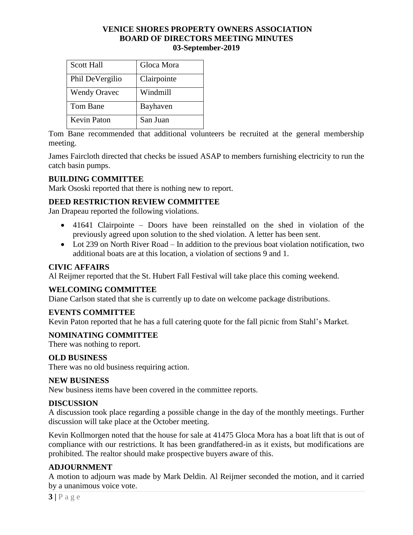| <b>Scott Hall</b>   | Gloca Mora  |
|---------------------|-------------|
| Phil DeVergilio     | Clairpointe |
| <b>Wendy Oravec</b> | Windmill    |
| Tom Bane            | Bayhaven    |
| <b>Kevin Paton</b>  | San Juan    |

Tom Bane recommended that additional volunteers be recruited at the general membership meeting.

James Faircloth directed that checks be issued ASAP to members furnishing electricity to run the catch basin pumps.

# **BUILDING COMMITTEE**

Mark Ososki reported that there is nothing new to report.

# **DEED RESTRICTION REVIEW COMMITTEE**

Jan Drapeau reported the following violations.

- 41641 Clairpointe Doors have been reinstalled on the shed in violation of the previously agreed upon solution to the shed violation. A letter has been sent.
- Lot 239 on North River Road In addition to the previous boat violation notification, two additional boats are at this location, a violation of sections 9 and 1.

# **CIVIC AFFAIRS**

Al Reijmer reported that the St. Hubert Fall Festival will take place this coming weekend.

# **WELCOMING COMMITTEE**

Diane Carlson stated that she is currently up to date on welcome package distributions.

# **EVENTS COMMITTEE**

Kevin Paton reported that he has a full catering quote for the fall picnic from Stahl's Market.

# **NOMINATING COMMITTEE**

There was nothing to report.

# **OLD BUSINESS**

There was no old business requiring action.

#### **NEW BUSINESS**

New business items have been covered in the committee reports.

# **DISCUSSION**

A discussion took place regarding a possible change in the day of the monthly meetings. Further discussion will take place at the October meeting.

Kevin Kollmorgen noted that the house for sale at 41475 Gloca Mora has a boat lift that is out of compliance with our restrictions. It has been grandfathered-in as it exists, but modifications are prohibited. The realtor should make prospective buyers aware of this.

# **ADJOURNMENT**

A motion to adjourn was made by Mark Deldin. Al Reijmer seconded the motion, and it carried by a unanimous voice vote.